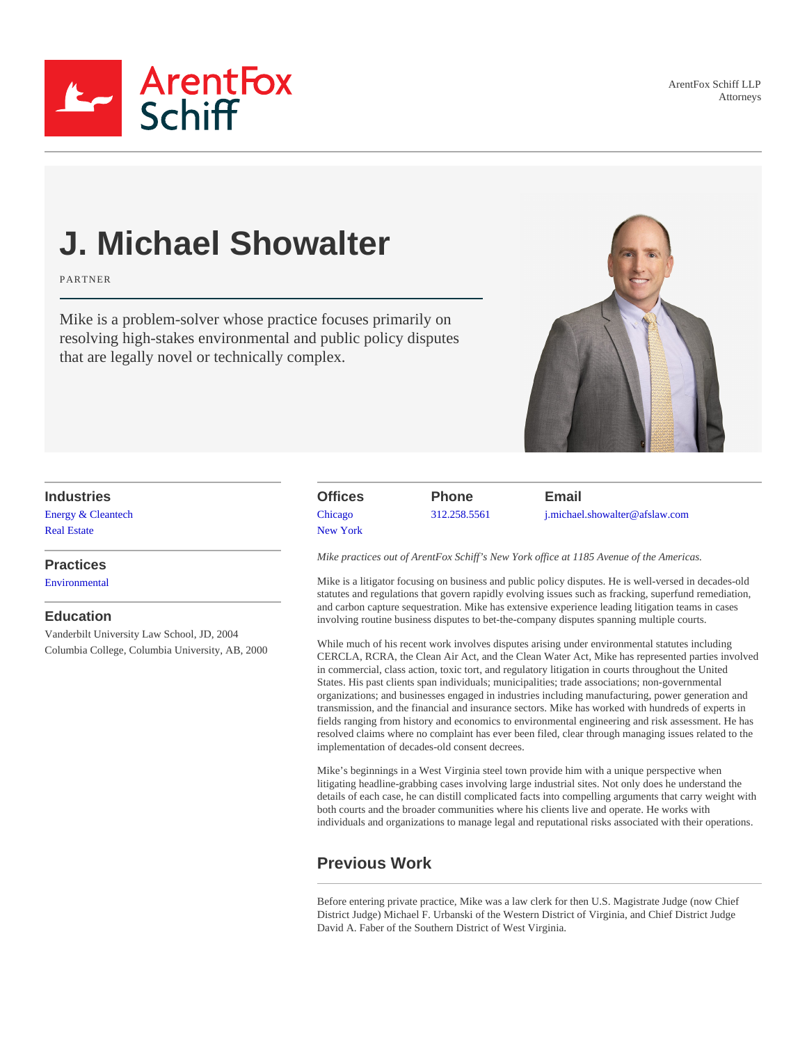ArentFox Schiff LLP Attorneys



# J. Michael Showalter

PARTNER

Mike is a problem-solver whose practice focuses primarily on resolving high-stakes environmental and public policy disputes that are legally novel or technically complex.

Industries [Energy & Cleantec](https://www.afslaw.com/services/energy-cleantech)h [Real Estat](https://www.afslaw.com/services/real-estate)e

**Practices [Environmenta](https://www.afslaw.com/services/environmental)l** 

#### Education

Vanderbilt University Law School, JD, 2004 Columbia College, Columbia University, AB, 2000 **Offices [Chicago](https://www.afslaw.com/locations/chicago)** [New York](https://www.afslaw.com/locations/new-york)

Phone [312.258.556](tel:312.258.5561)1

Email [j.michael.showalter@afslaw.co](mailto:j.michael.showalter@afslaw.com)m

Mike practices out of ArentFox Schiff's New York office at 1185 Avenue of the Americas.

Mike is a litigator focusing on business and public policy disputes. He is well-versed in decades-old statutes and regulations that govern rapidly evolving issues such as fracking, superfund remediation, and carbon capture sequestration. Mike has extensive experience leading litigation teams in cases involving routine business disputes to bet-the-company disputes spanning multiple courts.

While much of his recent work involves disputes arising under environmental statutes including CERCLA, RCRA, the Clean Air Act, and the Clean Water Act, Mike has represented parties involved in commercial, class action, toxic tort, and regulatory litigation in courts throughout the United States. His past clients span individuals; municipalities; trade associations; non-governmental organizations; and businesses engaged in industries including manufacturing, power generation and transmission, and the financial and insurance sectors. Mike has worked with hundreds of experts in fields ranging from history and economics to environmental engineering and risk assessment. He has resolved claims where no complaint has ever been filed, clear through managing issues related to the implementation of decades-old consent decrees.

Mike's beginnings in a West Virginia steel town provide him with a unique perspective when litigating headline-grabbing cases involving large industrial sites. Not only does he understand the details of each case, he can distill complicated facts into compelling arguments that carry weight with both courts and the broader communities where his clients live and operate. He works with individuals and organizations to manage legal and reputational risks associated with their operations.

# Previous Work

Before entering private practice, Mike was a law clerk for then U.S. Magistrate Judge (now Chief District Judge) Michael F. Urbanski of the Western District of Virginia, and Chief District Judge David A. Faber of the Southern District of West Virginia.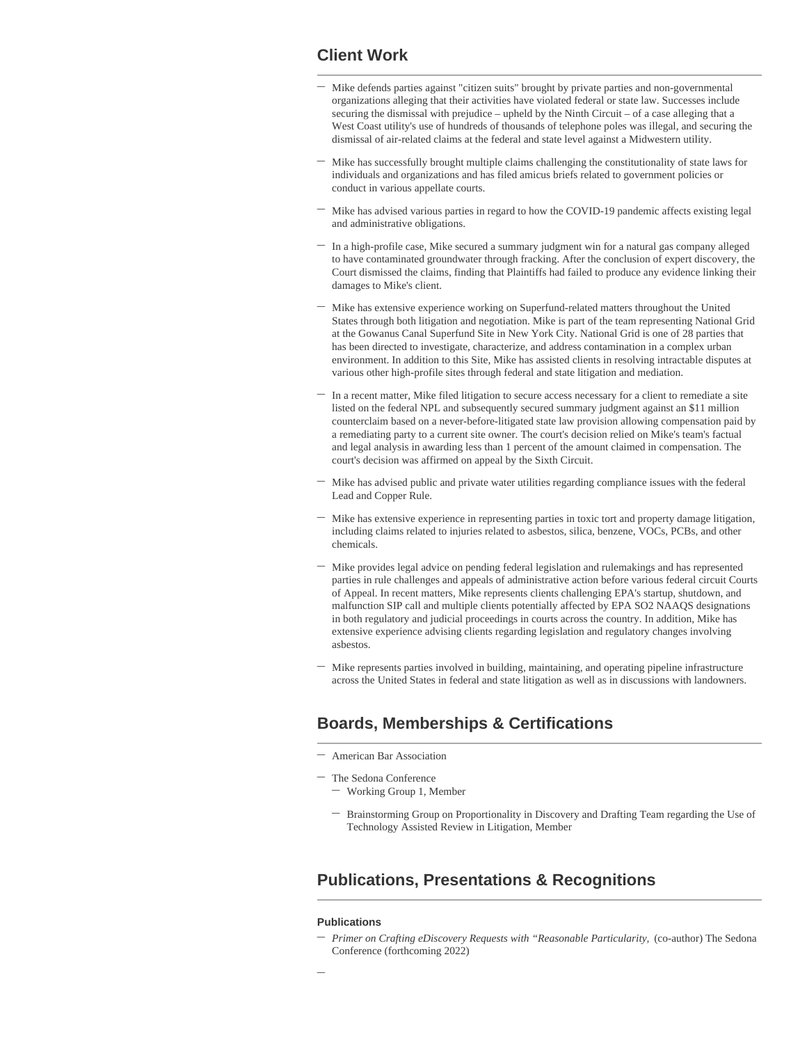### **Client Work**

- $-$  Mike defends parties against "citizen suits" brought by private parties and non-governmental organizations alleging that their activities have violated federal or state law. Successes include securing the dismissal with prejudice – upheld by the Ninth Circuit – of a case alleging that a West Coast utility's use of hundreds of thousands of telephone poles was illegal, and securing the dismissal of air-related claims at the federal and state level against a Midwestern utility.
- Mike has successfully brought multiple claims challenging the constitutionality of state laws for individuals and organizations and has filed amicus briefs related to government policies or conduct in various appellate courts. **—**
- Mike has advised various parties in regard to how the COVID-19 pandemic affects existing legal and administrative obligations. **—**
- In a high-profile case, Mike secured a summary judgment win for a natural gas company alleged to have contaminated groundwater through fracking. After the conclusion of expert discovery, the Court dismissed the claims, finding that Plaintiffs had failed to produce any evidence linking their damages to Mike's client. **—**
- Mike has extensive experience working on Superfund-related matters throughout the United States through both litigation and negotiation. Mike is part of the team representing National Grid at the Gowanus Canal Superfund Site in New York City. National Grid is one of 28 parties that has been directed to investigate, characterize, and address contamination in a complex urban environment. In addition to this Site, Mike has assisted clients in resolving intractable disputes at various other high-profile sites through federal and state litigation and mediation. **—**
- In a recent matter, Mike filed litigation to secure access necessary for a client to remediate a site  listed on the federal NPL and subsequently secured summary judgment against an \$11 million counterclaim based on a never-before-litigated state law provision allowing compensation paid by a remediating party to a current site owner. The court's decision relied on Mike's team's factual and legal analysis in awarding less than 1 percent of the amount claimed in compensation. The court's decision was affirmed on appeal by the Sixth Circuit.
- Mike has advised public and private water utilities regarding compliance issues with the federal Lead and Copper Rule. **—**
- $-$  Mike has extensive experience in representing parties in toxic tort and property damage litigation, including claims related to injuries related to asbestos, silica, benzene, VOCs, PCBs, and other chemicals.
- $-$  Mike provides legal advice on pending federal legislation and rulemakings and has represented parties in rule challenges and appeals of administrative action before various federal circuit Courts of Appeal. In recent matters, Mike represents clients challenging EPA's startup, shutdown, and malfunction SIP call and multiple clients potentially affected by EPA SO2 NAAQS designations in both regulatory and judicial proceedings in courts across the country. In addition, Mike has extensive experience advising clients regarding legislation and regulatory changes involving asbestos.
- Mike represents parties involved in building, maintaining, and operating pipeline infrastructure across the United States in federal and state litigation as well as in discussions with landowners. **—**

# **Boards, Memberships & Certifications**

- **—** American Bar Association
- **—** The Sedona Conference
	- **—** Working Group 1, Member
	- Brainstorming Group on Proportionality in Discovery and Drafting Team regarding the Use of **—** Technology Assisted Review in Litigation, Member

#### **Publications, Presentations & Recognitions**

#### **Publications**

*Primer on Crafting eDiscovery Requests with "Reasonable Particularity,* (co-author) The Sedona **—** Conference (forthcoming 2022)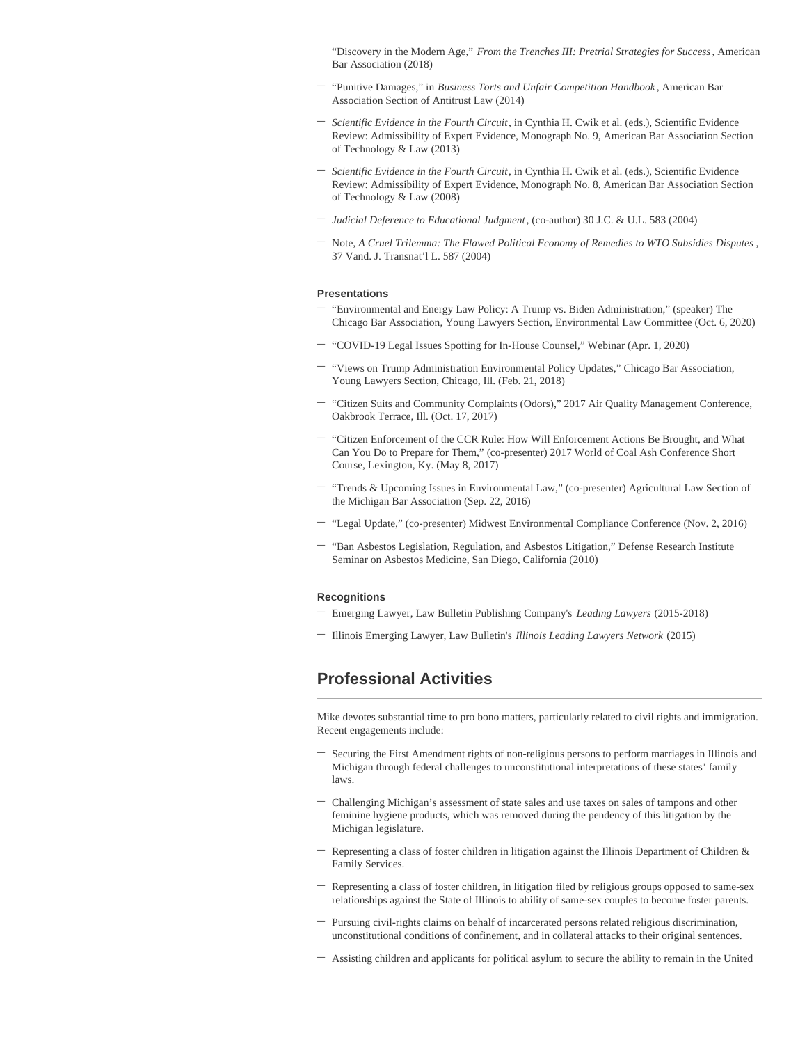"Discovery in the Modern Age," *From the Trenches III: Pretrial Strategies for Success*, American Bar Association (2018)

- "Punitive Damages," in *Business Torts and Unfair Competition Handbook* , American Bar Association Section of Antitrust Law (2014) **—**
- *Scientific Evidence in the Fourth Circuit*, in Cynthia H. Cwik et al. (eds.), Scientific Evidence **—** Review: Admissibility of Expert Evidence, Monograph No. 9, American Bar Association Section of Technology & Law (2013)
- *Scientific Evidence in the Fourth Circuit*, in Cynthia H. Cwik et al. (eds.), Scientific Evidence **—** Review: Admissibility of Expert Evidence, Monograph No. 8, American Bar Association Section of Technology & Law (2008)
- **—** *Judicial Deference to Educational Judgment*, (co-author) 30 J.C. & U.L. 583 (2004)
- Note, *A Cruel Trilemma: The Flawed Political Economy of Remedies to WTO Subsidies Disputes* , **—** 37 Vand. J. Transnat'l L. 587 (2004)

#### **Presentations**

- "Environmental and Energy Law Policy: A Trump vs. Biden Administration," (speaker) The Chicago Bar Association, Young Lawyers Section, Environmental Law Committee (Oct. 6, 2020) **—**
- **—** "COVID-19 Legal Issues Spotting for In-House Counsel," Webinar (Apr. 1, 2020)
- $-$  "Views on Trump Administration Environmental Policy Updates," Chicago Bar Association, Young Lawyers Section, Chicago, Ill. (Feb. 21, 2018)
- "Citizen Suits and Community Complaints (Odors)," 2017 Air Quality Management Conference, Oakbrook Terrace, Ill. (Oct. 17, 2017) **—**
- "Citizen Enforcement of the CCR Rule: How Will Enforcement Actions Be Brought, and What **—** Can You Do to Prepare for Them," (co-presenter) 2017 World of Coal Ash Conference Short Course, Lexington, Ky. (May 8, 2017)
- <sup>-</sup> "Trends & Upcoming Issues in Environmental Law," (co-presenter) Agricultural Law Section of the Michigan Bar Association (Sep. 22, 2016)
- **—** "Legal Update," (co-presenter) Midwest Environmental Compliance Conference (Nov. 2, 2016)
- $-$  "Ban Asbestos Legislation, Regulation, and Asbestos Litigation," Defense Research Institute Seminar on Asbestos Medicine, San Diego, California (2010)

#### **Recognitions**

- **—** Emerging Lawyer, Law Bulletin Publishing Company's *Leading Lawyers* (2015-2018)
- **—** Illinois Emerging Lawyer, Law Bulletin's *Illinois Leading Lawyers Network* (2015)

## **Professional Activities**

Mike devotes substantial time to pro bono matters, particularly related to civil rights and immigration. Recent engagements include:

- Securing the First Amendment rights of non-religious persons to perform marriages in Illinois and Michigan through federal challenges to unconstitutional interpretations of these states' family laws. **—**
- Challenging Michigan's assessment of state sales and use taxes on sales of tampons and other  feminine hygiene products, which was removed during the pendency of this litigation by the Michigan legislature.
- Representing a class of foster children in litigation against the Illinois Department of Children & Family Services. **—**
- Representing a class of foster children, in litigation filed by religious groups opposed to same-sex relationships against the State of Illinois to ability of same-sex couples to become foster parents. **—**
- Pursuing civil-rights claims on behalf of incarcerated persons related religious discrimination,  unconstitutional conditions of confinement, and in collateral attacks to their original sentences.
- **—** Assisting children and applicants for political asylum to secure the ability to remain in the United